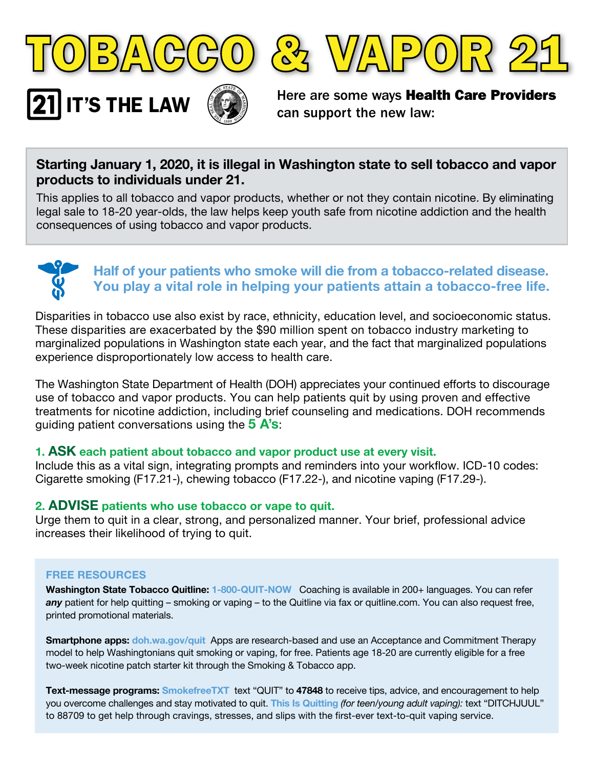



IT'S THE LAW  $\left(\bigotimes_{\alpha} \right)$  Here are some ways Health Care Providers can support the new law:

# **Starting January 1, 2020, it is illegal in Washington state to sell tobacco and vapor products to individuals under 21.**

This applies to all tobacco and vapor products, whether or not they contain nicotine. By eliminating legal sale to 18-20 year-olds, the law helps keep youth safe from nicotine addiction and the health consequences of using tobacco and vapor products.



# **Half of your patients who smoke will die from a tobacco-related disease. You play a vital role in helping your patients attain a tobacco-free life.**

Disparities in tobacco use also exist by race, ethnicity, education level, and socioeconomic status. These disparities are exacerbated by the \$90 million spent on tobacco industry marketing to marginalized populations in Washington state each year, and the fact that marginalized populations experience disproportionately low access to health care.

The Washington State Department of Health (DOH) appreciates your continued efforts to discourage use of tobacco and vapor products. You can help patients quit by using proven and effective treatments for nicotine addiction, including brief counseling and medications. DOH recommends guiding patient conversations using the **5 A's**:

#### **1. ASK each patient about tobacco and vapor product use at every visit.**

Include this as a vital sign, integrating prompts and reminders into your workflow. ICD-10 codes: Cigarette smoking (F17.21-), chewing tobacco (F17.22-), and nicotine vaping (F17.29-).

## **2. ADVISE patients who use tobacco or vape to quit.**

Urge them to quit in a clear, strong, and personalized manner. Your brief, professional advice increases their likelihood of trying to quit.

#### **FREE RESOURCES**

**Washington State Tobacco Quitline: 1-800-QUIT-NOW** Coaching is available in 200+ languages. You can refer *any* patient for help quitting – smoking or vaping – to the Quitline via fax or quitline.com. You can also request free, printed promotional materials.

**Smartphone apps: doh.wa.gov/quit** Apps are research-based and use an Acceptance and Commitment Therapy model to help Washingtonians quit smoking or vaping, for free. Patients age 18-20 are currently eligible for a free two-week nicotine patch starter kit through the Smoking & Tobacco app.

**Text-message programs: SmokefreeTXT** text "QUIT" to **47848** to receive tips, advice, and encouragement to help you overcome challenges and stay motivated to quit. **This Is Quitting** *(for teen/young adult vaping):* text "DITCHJUUL" to 88709 to get help through cravings, stresses, and slips with the first-ever text-to-quit vaping service.